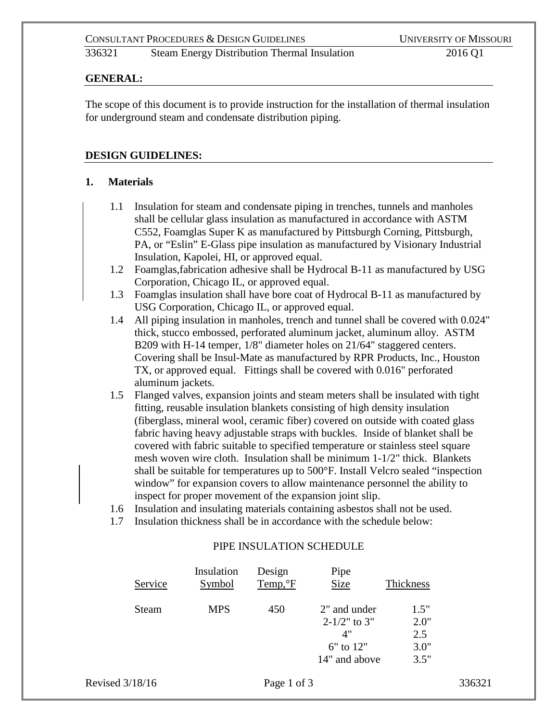#### **GENERAL:**

The scope of this document is to provide instruction for the installation of thermal insulation for underground steam and condensate distribution piping.

### **DESIGN GUIDELINES:**

### **1. Materials**

- 1.1 Insulation for steam and condensate piping in trenches, tunnels and manholes shall be cellular glass insulation as manufactured in accordance with ASTM C552, Foamglas Super K as manufactured by Pittsburgh Corning, Pittsburgh, PA, or "Eslin" E-Glass pipe insulation as manufactured by Visionary Industrial Insulation, Kapolei, HI, or approved equal.
- 1.2 Foamglas,fabrication adhesive shall be Hydrocal B-11 as manufactured by USG Corporation, Chicago IL, or approved equal.
- 1.3 Foamglas insulation shall have bore coat of Hydrocal B-11 as manufactured by USG Corporation, Chicago IL, or approved equal.
- 1.4 All piping insulation in manholes, trench and tunnel shall be covered with 0.024" thick, stucco embossed, perforated aluminum jacket, aluminum alloy. ASTM B209 with H-14 temper, 1/8" diameter holes on 21/64" staggered centers. Covering shall be Insul-Mate as manufactured by RPR Products, Inc., Houston TX, or approved equal. Fittings shall be covered with 0.016" perforated aluminum jackets.
- 1.5 Flanged valves, expansion joints and steam meters shall be insulated with tight fitting, reusable insulation blankets consisting of high density insulation (fiberglass, mineral wool, ceramic fiber) covered on outside with coated glass fabric having heavy adjustable straps with buckles. Inside of blanket shall be covered with fabric suitable to specified temperature or stainless steel square mesh woven wire cloth. Insulation shall be minimum 1-1/2" thick. Blankets shall be suitable for temperatures up to 500°F. Install Velcro sealed "inspection window" for expansion covers to allow maintenance personnel the ability to inspect for proper movement of the expansion joint slip.
- 1.6 Insulation and insulating materials containing asbestos shall not be used.
- 1.7 Insulation thickness shall be in accordance with the schedule below:

# PIPE INSULATION SCHEDULE

| Service | Insulation<br><b>Symbol</b> | Design<br>$Temp, ^{\circ}F$ | Pipe<br><b>Size</b>                                                       | Thickness                           |
|---------|-----------------------------|-----------------------------|---------------------------------------------------------------------------|-------------------------------------|
| Steam   | <b>MPS</b>                  | 450                         | 2" and under<br>$2 - 1/2$ " to 3"<br>4"<br>$6"$ to $12"$<br>14" and above | 1.5"<br>2.0"<br>2.5<br>3.0"<br>3.5" |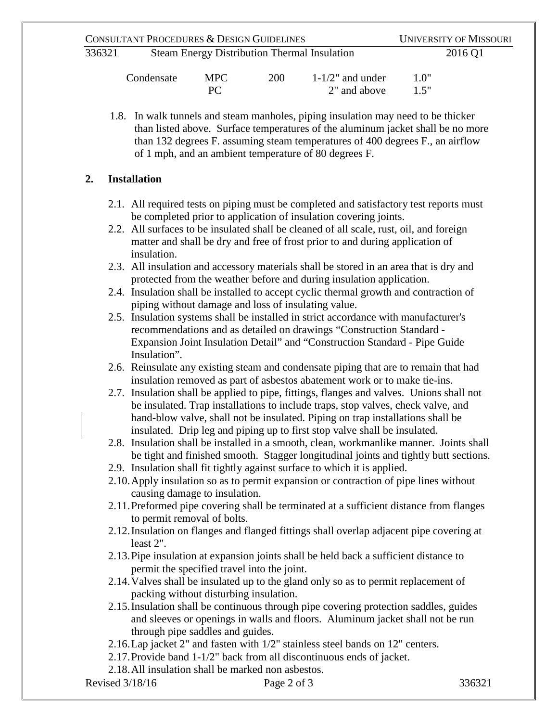| CONSULTANT PROCEDURES & DESIGN GUIDELINES |                                                     |            |     |                     | <b>UNIVERSITY OF MISSOURI</b> |
|-------------------------------------------|-----------------------------------------------------|------------|-----|---------------------|-------------------------------|
| 336321                                    | <b>Steam Energy Distribution Thermal Insulation</b> |            |     | 2016 Q1             |                               |
|                                           | Condensate                                          | <b>MPC</b> | 200 | $1-1/2$ " and under |                               |

| Condensate | <b>MPC</b> | <b>200</b> | $1-1/2$ " and under | 1.0" |
|------------|------------|------------|---------------------|------|
|            |            |            | 2" and above        | 1.5" |

1.8. In walk tunnels and steam manholes, piping insulation may need to be thicker than listed above. Surface temperatures of the aluminum jacket shall be no more than 132 degrees F. assuming steam temperatures of 400 degrees F., an airflow of 1 mph, and an ambient temperature of 80 degrees F.

# **2. Installation**

- 2.1. All required tests on piping must be completed and satisfactory test reports must be completed prior to application of insulation covering joints.
- 2.2. All surfaces to be insulated shall be cleaned of all scale, rust, oil, and foreign matter and shall be dry and free of frost prior to and during application of insulation.
- 2.3. All insulation and accessory materials shall be stored in an area that is dry and protected from the weather before and during insulation application.
- 2.4. Insulation shall be installed to accept cyclic thermal growth and contraction of piping without damage and loss of insulating value.
- 2.5. Insulation systems shall be installed in strict accordance with manufacturer's recommendations and as detailed on drawings "Construction Standard - Expansion Joint Insulation Detail" and "Construction Standard - Pipe Guide Insulation".
- 2.6. Reinsulate any existing steam and condensate piping that are to remain that had insulation removed as part of asbestos abatement work or to make tie-ins.
- 2.7. Insulation shall be applied to pipe, fittings, flanges and valves. Unions shall not be insulated. Trap installations to include traps, stop valves, check valve, and hand-blow valve, shall not be insulated. Piping on trap installations shall be insulated. Drip leg and piping up to first stop valve shall be insulated.
- 2.8. Insulation shall be installed in a smooth, clean, workmanlike manner. Joints shall be tight and finished smooth. Stagger longitudinal joints and tightly butt sections.
- 2.9. Insulation shall fit tightly against surface to which it is applied.
- 2.10.Apply insulation so as to permit expansion or contraction of pipe lines without causing damage to insulation.
- 2.11.Preformed pipe covering shall be terminated at a sufficient distance from flanges to permit removal of bolts.
- 2.12.Insulation on flanges and flanged fittings shall overlap adjacent pipe covering at least 2".
- 2.13.Pipe insulation at expansion joints shall be held back a sufficient distance to permit the specified travel into the joint.
- 2.14.Valves shall be insulated up to the gland only so as to permit replacement of packing without disturbing insulation.
- 2.15.Insulation shall be continuous through pipe covering protection saddles, guides and sleeves or openings in walls and floors. Aluminum jacket shall not be run through pipe saddles and guides.
- 2.16.Lap jacket 2" and fasten with 1/2" stainless steel bands on 12" centers.
- 2.17.Provide band 1-1/2" back from all discontinuous ends of jacket.

2.18.All insulation shall be marked non asbestos.